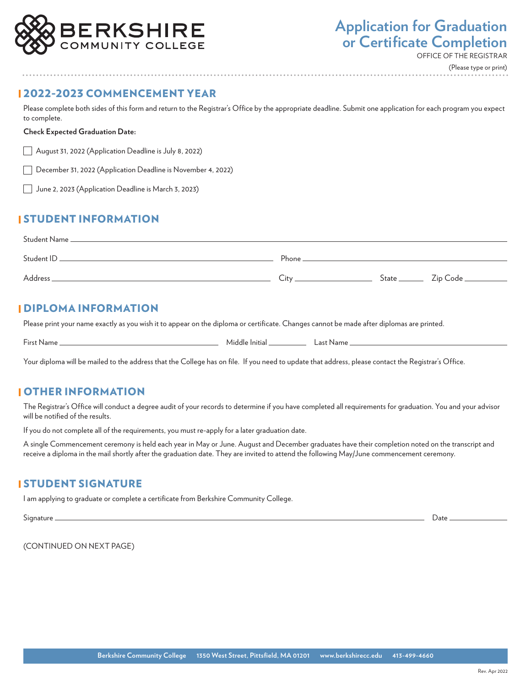

OFFICE OF THE REGISTRAR

(Please type or print)

### 2022-2023 COMMENCEMENT YEAR

Please complete both sides of this form and return to the Registrar's Office by the appropriate deadline. Submit one application for each program you expect to complete.

#### **Check Expected Graduation Date:**

August 31, 2022 (Application Deadline is July 8, 2022)

December 31, 2022 (Application Deadline is November 4, 2022)

June 2, 2023 (Application Deadline is March 3, 2023)

# STUDENT INFORMATION

| Student Name _ |        |                         |            |
|----------------|--------|-------------------------|------------|
| Student ID.    | Phone. |                         |            |
| Address.       | Citv   | $State$ <sub>____</sub> | Zip Code _ |
|                |        |                         |            |

#### DIPLOMA INFORMATION

Please print your name exactly as you wish it to appear on the diploma or certificate. Changes cannot be made after diplomas are printed.

First Name Middle Initial Last Name

Your diploma will be mailed to the address that the College has on file. If you need to update that address, please contact the Registrar's Office.

## OTHER INFORMATION

The Registrar's Office will conduct a degree audit of your records to determine if you have completed all requirements for graduation. You and your advisor will be notified of the results.

If you do not complete all of the requirements, you must re-apply for a later graduation date.

A single Commencement ceremony is held each year in May or June. August and December graduates have their completion noted on the transcript and receive a diploma in the mail shortly after the graduation date. They are invited to attend the following May/June commencement ceremony.

#### STUDENT SIGNATURE

I am applying to graduate or complete a certificate from Berkshire Community College.

Signature Date

(CONTINUED ON NEXT PAGE)